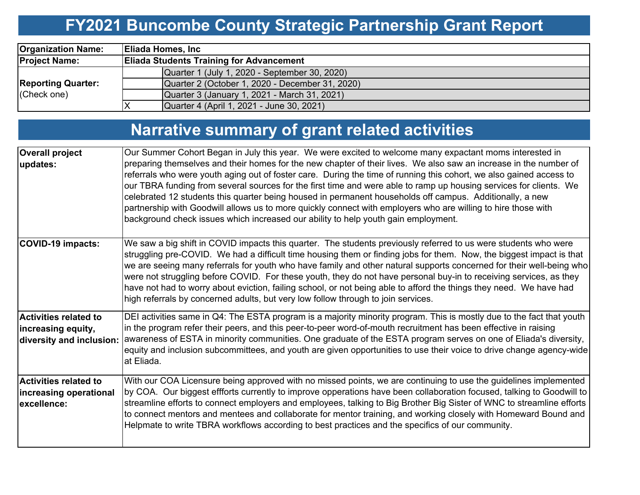# **FY2021 Buncombe County Strategic Partnership Grant Report**

| <b>Organization Name:</b>                | <b>Eliada Homes, Inc</b> |                                                 |  |  |  |  |  |  |
|------------------------------------------|--------------------------|-------------------------------------------------|--|--|--|--|--|--|
| <b>Project Name:</b>                     |                          | <b>Eliada Students Training for Advancement</b> |  |  |  |  |  |  |
| <b>Reporting Quarter:</b><br>(Check one) |                          | Quarter 1 (July 1, 2020 - September 30, 2020)   |  |  |  |  |  |  |
|                                          |                          | Quarter 2 (October 1, 2020 - December 31, 2020) |  |  |  |  |  |  |
|                                          |                          | Quarter 3 (January 1, 2021 - March 31, 2021)    |  |  |  |  |  |  |
|                                          |                          | Quarter 4 (April 1, 2021 - June 30, 2021)       |  |  |  |  |  |  |

# **Narrative summary of grant related activities**

| <b>Overall project</b><br>updates:                                             | Our Summer Cohort Began in July this year. We were excited to welcome many expactant moms interested in<br>preparing themselves and their homes for the new chapter of their lives. We also saw an increase in the number of<br>referrals who were youth aging out of foster care. During the time of running this cohort, we also gained access to<br>our TBRA funding from several sources for the first time and were able to ramp up housing services for clients. We<br>celebrated 12 students this quarter being housed in permanent households off campus. Additionally, a new<br>partnership with Goodwill allows us to more quickly connect with employers who are willing to hire those with<br>background check issues which increased our ability to help youth gain employment. |
|--------------------------------------------------------------------------------|----------------------------------------------------------------------------------------------------------------------------------------------------------------------------------------------------------------------------------------------------------------------------------------------------------------------------------------------------------------------------------------------------------------------------------------------------------------------------------------------------------------------------------------------------------------------------------------------------------------------------------------------------------------------------------------------------------------------------------------------------------------------------------------------|
| COVID-19 impacts:                                                              | We saw a big shift in COVID impacts this quarter. The students previously referred to us were students who were<br>struggling pre-COVID. We had a difficult time housing them or finding jobs for them. Now, the biggest impact is that<br>we are seeing many referrals for youth who have family and other natural supports concerned for their well-being who<br>were not struggling before COVID. For these youth, they do not have personal buy-in to receiving services, as they<br>have not had to worry about eviction, failing school, or not being able to afford the things they need. We have had<br>high referrals by concerned adults, but very low follow through to join services.                                                                                            |
| <b>Activities related to</b><br>increasing equity,<br>diversity and inclusion: | DEI activities same in Q4: The ESTA program is a majority minority program. This is mostly due to the fact that youth<br>in the program refer their peers, and this peer-to-peer word-of-mouth recruitment has been effective in raising<br> awareness of ESTA in minority communities. One graduate of the ESTA program serves on one of Eliada's diversity,<br>equity and inclusion subcommittees, and youth are given opportunities to use their voice to drive change agency-wide<br>at Eliada.                                                                                                                                                                                                                                                                                          |
| <b>Activities related to</b><br>increasing operational<br>excellence:          | With our COA Licensure being approved with no missed points, we are continuing to use the guidelines implemented<br>by COA. Our biggest effforts currently to improve opperations have been collaboration focused, talking to Goodwill to<br>streamline efforts to connect employers and employees, talking to Big Brother Big Sister of WNC to streamline efforts<br>to connect mentors and mentees and collaborate for mentor training, and working closely with Homeward Bound and<br>Helpmate to write TBRA workflows according to best practices and the specifics of our community.                                                                                                                                                                                                    |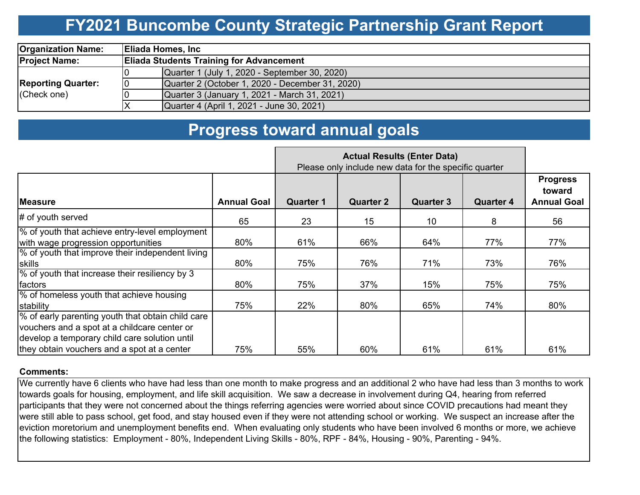## **FY2021 Buncombe County Strategic Partnership Grant Report**

| <b>Organization Name:</b>                |    | <b>Eliada Homes, Inc.</b>                       |  |  |  |  |  |  |
|------------------------------------------|----|-------------------------------------------------|--|--|--|--|--|--|
| <b>Project Name:</b>                     |    | <b>Eliada Students Training for Advancement</b> |  |  |  |  |  |  |
|                                          |    | Quarter 1 (July 1, 2020 - September 30, 2020)   |  |  |  |  |  |  |
| <b>Reporting Quarter:</b><br>(Check one) | 10 | Quarter 2 (October 1, 2020 - December 31, 2020) |  |  |  |  |  |  |
|                                          |    | Quarter 3 (January 1, 2021 - March 31, 2021)    |  |  |  |  |  |  |
|                                          |    | Quarter 4 (April 1, 2021 - June 30, 2021)       |  |  |  |  |  |  |

### **Progress toward annual goals**

|                                                                                                                                                    | Please only include new data for the specific quarter |                  |                  |                  |                  |                                                 |
|----------------------------------------------------------------------------------------------------------------------------------------------------|-------------------------------------------------------|------------------|------------------|------------------|------------------|-------------------------------------------------|
| <b>Measure</b>                                                                                                                                     | <b>Annual Goal</b>                                    | <b>Quarter 1</b> | <b>Quarter 2</b> | <b>Quarter 3</b> | <b>Quarter 4</b> | <b>Progress</b><br>toward<br><b>Annual Goal</b> |
| $\#$ of youth served                                                                                                                               | 65                                                    | 23               | 15               | 10               | 8                | 56                                              |
| % of youth that achieve entry-level employment<br>with wage progression opportunities                                                              | 80%                                                   | 61%              | 66%              | 64%              | 77%              | 77%                                             |
| % of youth that improve their independent living<br>skills                                                                                         | 80%                                                   | 75%              | 76%              | 71%              | 73%              | 76%                                             |
| % of youth that increase their resiliency by 3<br>factors                                                                                          | 80%                                                   | 75%              | 37%              | 15%              | 75%              | 75%                                             |
| % of homeless youth that achieve housing<br>stability                                                                                              | 75%                                                   | 22%              | 80%              | 65%              | 74%              | 80%                                             |
| % of early parenting youth that obtain child care<br>vouchers and a spot at a childcare center or<br>develop a temporary child care solution until |                                                       |                  |                  |                  |                  |                                                 |
| they obtain vouchers and a spot at a center                                                                                                        | 75%                                                   | 55%              | 60%              | 61%              | 61%              | 61%                                             |

#### **Comments:**

We currently have 6 clients who have had less than one month to make progress and an additional 2 who have had less than 3 months to work towards goals for housing, employment, and life skill acquisition. We saw a decrease in involvement during Q4, hearing from referred participants that they were not concerned about the things referring agencies were worried about since COVID precautions had meant they were still able to pass school, get food, and stay housed even if they were not attending school or working. We suspect an increase after the eviction moretorium and unemployment benefits end. When evaluating only students who have been involved 6 months or more, we achieve the following statistics: Employment - 80%, Independent Living Skills - 80%, RPF - 84%, Housing - 90%, Parenting - 94%.